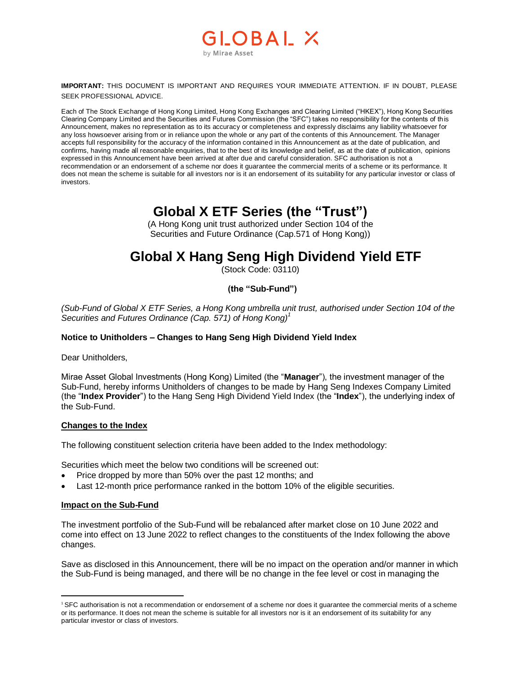## OBAI X by Mirae Asset

**IMPORTANT:** THIS DOCUMENT IS IMPORTANT AND REQUIRES YOUR IMMEDIATE ATTENTION. IF IN DOUBT, PLEASE SEEK PROFESSIONAL ADVICE.

Each of The Stock Exchange of Hong Kong Limited, Hong Kong Exchanges and Clearing Limited ("HKEX"), Hong Kong Securities Clearing Company Limited and the Securities and Futures Commission (the "SFC") takes no responsibility for the contents of this Announcement, makes no representation as to its accuracy or completeness and expressly disclaims any liability whatsoever for any loss howsoever arising from or in reliance upon the whole or any part of the contents of this Announcement. The Manager accepts full responsibility for the accuracy of the information contained in this Announcement as at the date of publication, and confirms, having made all reasonable enquiries, that to the best of its knowledge and belief, as at the date of publication, opinions expressed in this Announcement have been arrived at after due and careful consideration. SFC authorisation is not a recommendation or an endorsement of a scheme nor does it guarantee the commercial merits of a scheme or its performance. It does not mean the scheme is suitable for all investors nor is it an endorsement of its suitability for any particular investor or class of investors.

## **Global X ETF Series (the "Trust")**

(A Hong Kong unit trust authorized under Section 104 of the Securities and Future Ordinance (Cap.571 of Hong Kong))

# **Global X Hang Seng High Dividend Yield ETF**

(Stock Code: 03110)

## **(the "Sub-Fund")**

*(Sub-Fund of Global X ETF Series, a Hong Kong umbrella unit trust, authorised under Section 104 of the Securities and Futures Ordinance (Cap. 571) of Hong Kong)<sup>1</sup>*

### **Notice to Unitholders – Changes to Hang Seng High Dividend Yield Index**

Dear Unitholders,

Mirae Asset Global Investments (Hong Kong) Limited (the "**Manager**"), the investment manager of the Sub-Fund, hereby informs Unitholders of changes to be made by Hang Seng Indexes Company Limited (the "**Index Provider**") to the Hang Seng High Dividend Yield Index (the "**Index**"), the underlying index of the Sub-Fund.

### **Changes to the Index**

The following constituent selection criteria have been added to the Index methodology:

Securities which meet the below two conditions will be screened out:

- Price dropped by more than 50% over the past 12 months; and
- Last 12-month price performance ranked in the bottom 10% of the eligible securities.

### **Impact on the Sub-Fund**

 $\overline{a}$ 

The investment portfolio of the Sub-Fund will be rebalanced after market close on 10 June 2022 and come into effect on 13 June 2022 to reflect changes to the constituents of the Index following the above changes.

Save as disclosed in this Announcement, there will be no impact on the operation and/or manner in which the Sub-Fund is being managed, and there will be no change in the fee level or cost in managing the

<sup>1</sup> SFC authorisation is not a recommendation or endorsement of a scheme nor does it guarantee the commercial merits of a scheme or its performance. It does not mean the scheme is suitable for all investors nor is it an endorsement of its suitability for any particular investor or class of investors.